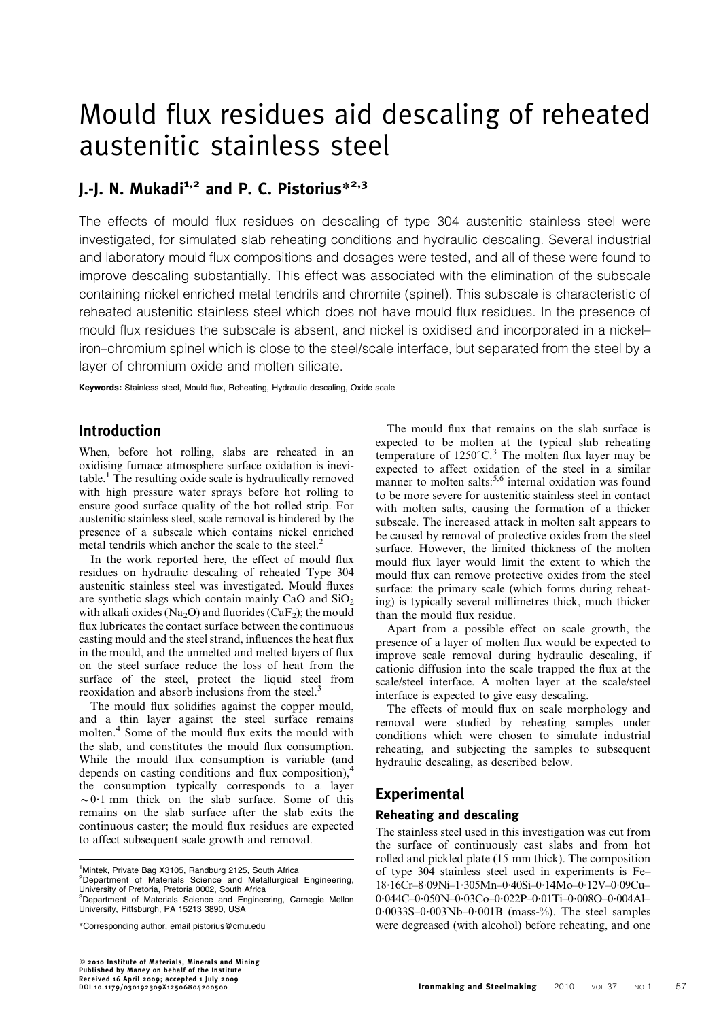# Mould flux residues aid descaling of reheated austenitic stainless steel

## $I.-I.$  N. Mukadi<sup>1,2</sup> and P. C. Pistorius<sup>\*2,3</sup>

The effects of mould flux residues on descaling of type 304 austenitic stainless steel were investigated, for simulated slab reheating conditions and hydraulic descaling. Several industrial and laboratory mould flux compositions and dosages were tested, and all of these were found to improve descaling substantially. This effect was associated with the elimination of the subscale containing nickel enriched metal tendrils and chromite (spinel). This subscale is characteristic of reheated austenitic stainless steel which does not have mould flux residues. In the presence of mould flux residues the subscale is absent, and nickel is oxidised and incorporated in a nickel– iron–chromium spinel which is close to the steel/scale interface, but separated from the steel by a layer of chromium oxide and molten silicate.

Keywords: Stainless steel, Mould flux, Reheating, Hydraulic descaling, Oxide scale

## Introduction

When, before hot rolling, slabs are reheated in an oxidising furnace atmosphere surface oxidation is inevitable.<sup>1</sup> The resulting oxide scale is hydraulically removed with high pressure water sprays before hot rolling to ensure good surface quality of the hot rolled strip. For austenitic stainless steel, scale removal is hindered by the presence of a subscale which contains nickel enriched metal tendrils which anchor the scale to the steel.<sup>2</sup>

In the work reported here, the effect of mould flux residues on hydraulic descaling of reheated Type 304 austenitic stainless steel was investigated. Mould fluxes are synthetic slags which contain mainly CaO and  $SiO<sub>2</sub>$ with alkali oxides (Na<sub>2</sub>O) and fluorides (CaF<sub>2</sub>); the mould flux lubricates the contact surface between the continuous casting mould and the steel strand, influences the heat flux in the mould, and the unmelted and melted layers of flux on the steel surface reduce the loss of heat from the surface of the steel, protect the liquid steel from reoxidation and absorb inclusions from the steel.<sup>3</sup>

The mould flux solidifies against the copper mould, and a thin layer against the steel surface remains molten.<sup>4</sup> Some of the mould flux exits the mould with the slab, and constitutes the mould flux consumption. While the mould flux consumption is variable (and depends on casting conditions and flux composition), $4$ the consumption typically corresponds to a layer  $\sim 0.1$  mm thick on the slab surface. Some of this remains on the slab surface after the slab exits the continuous caster; the mould flux residues are expected to affect subsequent scale growth and removal.

<sup>2</sup>Department of Materials Science and Metallurgical Engineering, University of Pretoria, Pretoria 0002, South Africa

The mould flux that remains on the slab surface is expected to be molten at the typical slab reheating temperature of  $1250^{\circ}$ C.<sup>3</sup> The molten flux layer may be expected to affect oxidation of the steel in a similar manner to molten salts: $5,6$  internal oxidation was found to be more severe for austenitic stainless steel in contact with molten salts, causing the formation of a thicker subscale. The increased attack in molten salt appears to be caused by removal of protective oxides from the steel surface. However, the limited thickness of the molten mould flux layer would limit the extent to which the mould flux can remove protective oxides from the steel surface: the primary scale (which forms during reheating) is typically several millimetres thick, much thicker than the mould flux residue.

Apart from a possible effect on scale growth, the presence of a layer of molten flux would be expected to improve scale removal during hydraulic descaling, if cationic diffusion into the scale trapped the flux at the scale/steel interface. A molten layer at the scale/steel interface is expected to give easy descaling.

The effects of mould flux on scale morphology and removal were studied by reheating samples under conditions which were chosen to simulate industrial reheating, and subjecting the samples to subsequent hydraulic descaling, as described below.

## **Experimental**

#### Reheating and descaling

The stainless steel used in this investigation was cut from the surface of continuously cast slabs and from hot rolled and pickled plate (15 mm thick). The composition of type 304 stainless steel used in experiments is Fe– 18?16Cr–8?09Ni–1?305Mn–0?40Si–0?14Mo–0?12V–0?09Cu– 0?044C–0?050N–0?03Co–0?022P–0?01Ti–0?008O–0?004Al–  $0.0033S-0.003Nb-0.001B$  (mass-%). The steel samples were degreased (with alcohol) before reheating, and one

<sup>&</sup>lt;sup>1</sup>Mintek, Private Bag X3105, Randburg 2125, South Africa

<sup>3</sup> Department of Materials Science and Engineering, Carnegie Mellon University, Pittsburgh, PA 15213 3890, USA

<sup>\*</sup>Corresponding author, email pistorius@cmu.edu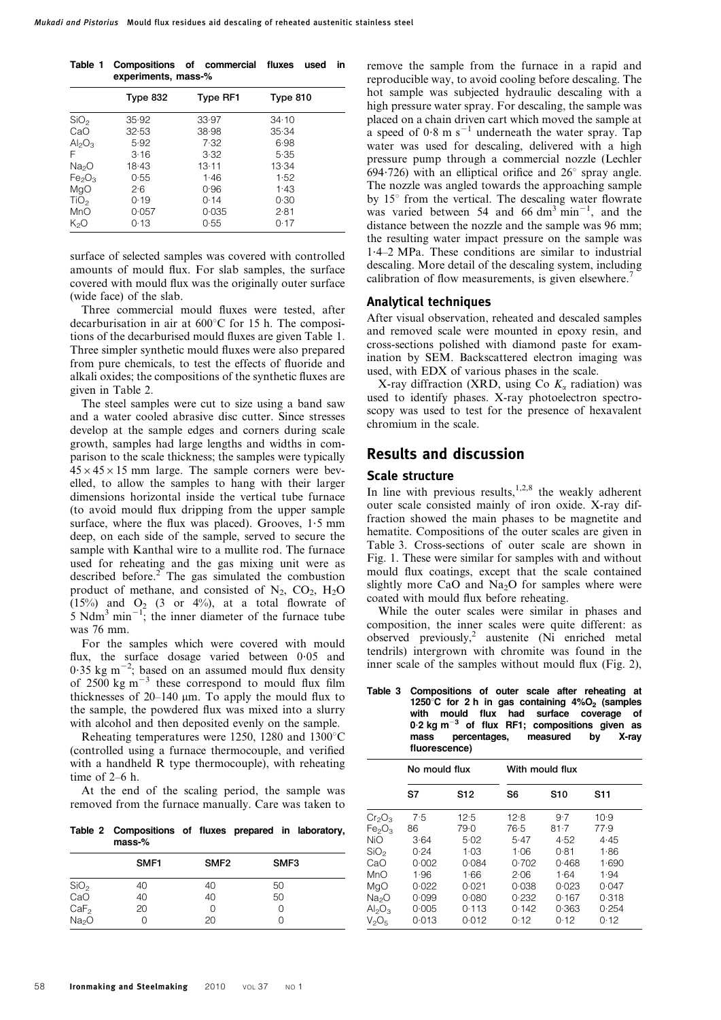|  | Table 1 Compositions of commercial fluxes used in |  |  |  |  |
|--|---------------------------------------------------|--|--|--|--|
|  | experiments, mass-%                               |  |  |  |  |

|                                | Type 832 | <b>Type RF1</b> | Type 810 |
|--------------------------------|----------|-----------------|----------|
| SiO <sub>2</sub>               | 35.92    | 33.97           | 34.10    |
| CaO                            | 32.53    | 38.98           | 35.34    |
| $Al_2O_3$                      | 5.92     | 7.32            | 6.98     |
| F                              | 3.16     | 3.32            | 5.35     |
| Na <sub>2</sub> O              | 18.43    | 13.11           | 13.34    |
| Fe <sub>2</sub> O <sub>3</sub> | 0.55     | 1.46            | 1.52     |
| MgO                            | 2.6      | 0.96            | 1.43     |
| TiO <sub>2</sub>               | 0.19     | 0.14            | 0.30     |
| MnO                            | 0.057    | 0.035           | 2.81     |
| K,O                            | 0.13     | 0.55            | 0.17     |
|                                |          |                 |          |

surface of selected samples was covered with controlled amounts of mould flux. For slab samples, the surface covered with mould flux was the originally outer surface (wide face) of the slab.

Three commercial mould fluxes were tested, after decarburisation in air at  $600^{\circ}$ C for 15 h. The compositions of the decarburised mould fluxes are given Table 1. Three simpler synthetic mould fluxes were also prepared from pure chemicals, to test the effects of fluoride and alkali oxides; the compositions of the synthetic fluxes are given in Table 2.

The steel samples were cut to size using a band saw and a water cooled abrasive disc cutter. Since stresses develop at the sample edges and corners during scale growth, samples had large lengths and widths in comparison to the scale thickness; the samples were typically  $45 \times 45 \times 15$  mm large. The sample corners were bevelled, to allow the samples to hang with their larger dimensions horizontal inside the vertical tube furnace (to avoid mould flux dripping from the upper sample surface, where the flux was placed). Grooves,  $1.5$  mm deep, on each side of the sample, served to secure the sample with Kanthal wire to a mullite rod. The furnace used for reheating and the gas mixing unit were as described before. $2^{\circ}$  The gas simulated the combustion product of methane, and consisted of  $N_2$ ,  $CO_2$ ,  $H_2O$  $(15%)$  and  $O<sub>2</sub>$  (3 or 4%), at a total flowrate of 5 Ndm<sup>3</sup> min<sup>-1</sup>; the inner diameter of the furnace tube was 76 mm.

For the samples which were covered with mould flux, the surface dosage varied between  $0.05$  and  $0.35$  kg m<sup>-2</sup>; based on an assumed mould flux density of 2500 kg  $m^{-3}$  these correspond to mould flux film thicknesses of  $20-140$  µm. To apply the mould flux to the sample, the powdered flux was mixed into a slurry with alcohol and then deposited evenly on the sample.

Reheating temperatures were 1250, 1280 and 1300 $^{\circ}$ C (controlled using a furnace thermocouple, and verified with a handheld R type thermocouple), with reheating time of 2–6 h.

At the end of the scaling period, the sample was removed from the furnace manually. Care was taken to

Table 2 Compositions of fluxes prepared in laboratory, mass-%

|                   | SMF <sub>1</sub> | SMF <sub>2</sub> | SMF <sub>3</sub> |  |
|-------------------|------------------|------------------|------------------|--|
| $SiO2$<br>CaO     | 40               | 40               | 50               |  |
|                   | 40               | 40               | 50               |  |
| CaF <sub>2</sub>  | 20               | $\bigcap$        |                  |  |
| Na <sub>2</sub> O |                  | 20               |                  |  |

remove the sample from the furnace in a rapid and reproducible way, to avoid cooling before descaling. The hot sample was subjected hydraulic descaling with a high pressure water spray. For descaling, the sample was placed on a chain driven cart which moved the sample at a speed of  $0.8 \text{ m s}^{-1}$  underneath the water spray. Tap water was used for descaling, delivered with a high pressure pump through a commercial nozzle (Lechler 694 $\cdot$ 726) with an elliptical orifice and 26 $\degree$  spray angle. The nozzle was angled towards the approaching sample by  $15^\circ$  from the vertical. The descaling water flowrate was varied between 54 and 66 dm<sup>3</sup> min<sup>-1</sup>, and the distance between the nozzle and the sample was 96 mm; the resulting water impact pressure on the sample was 1?4–2 MPa. These conditions are similar to industrial descaling. More detail of the descaling system, including calibration of flow measurements, is given elsewhere.<sup>7</sup>

#### Analytical techniques

After visual observation, reheated and descaled samples and removed scale were mounted in epoxy resin, and cross-sections polished with diamond paste for examination by SEM. Backscattered electron imaging was used, with EDX of various phases in the scale.

X-ray diffraction (XRD, using Co K*<sup>a</sup>* radiation) was used to identify phases. X-ray photoelectron spectroscopy was used to test for the presence of hexavalent chromium in the scale.

### Results and discussion

#### Scale structure

In line with previous results, $1,2,8$  the weakly adherent outer scale consisted mainly of iron oxide. X-ray diffraction showed the main phases to be magnetite and hematite. Compositions of the outer scales are given in Table 3. Cross-sections of outer scale are shown in Fig. 1. These were similar for samples with and without mould flux coatings, except that the scale contained slightly more CaO and  $Na<sub>2</sub>O$  for samples where were coated with mould flux before reheating.

While the outer scales were similar in phases and composition, the inner scales were quite different: as observed previously,2 austenite (Ni enriched metal tendrils) intergrown with chromite was found in the inner scale of the samples without mould flux (Fig. 2),

Table 3 Compositions of outer scale after reheating at 1250 $^{\circ}$ C for 2 h in gas containing 4%O<sub>2</sub> (samples with mould flux had surface coverage of n...<br>0.2 kg m<sup>-3</sup> of flux RF1; compositions given as<br>mass percentages, measured by X-ray percentages, measured by X-ray fluorescence)

|                                | No mould flux |                 | With mould flux |       |            |  |  |
|--------------------------------|---------------|-----------------|-----------------|-------|------------|--|--|
|                                | S7            | S <sub>12</sub> | S6              | S10   | <b>S11</b> |  |  |
| $Cr_2O_3$                      | 7.5           | 12.5            | 12.8            | 9.7   | 10.9       |  |  |
| Fe <sub>2</sub> O <sub>3</sub> | 86            | 79.0            | 76.5            | 81.7  | 77.9       |  |  |
| NiO                            | 3.64          | 5.02            | 5.47            | 4.52  | 4.45       |  |  |
| SiO <sub>2</sub>               | 0.24          | 1.03            | 1.06            | 0.81  | 1.86       |  |  |
| CaO                            | 0.002         | 0.084           | 0.702           | 0.468 | 1.690      |  |  |
| MnO                            | 1.96          | 1.66            | 2.06            | 1.64  | 1.94       |  |  |
| MgO                            | 0.022         | 0.021           | 0.038           | 0.023 | 0.047      |  |  |
| Na <sub>2</sub> O              | 0.099         | 0.080           | 0.232           | 0.167 | 0.318      |  |  |
| $Al_2O_3$                      | 0.005         | 0.113           | 0.142           | 0.363 | 0.254      |  |  |
| $V_2O_5$                       | 0.013         | 0.012           | 0.12            | 0.12  | 0.12       |  |  |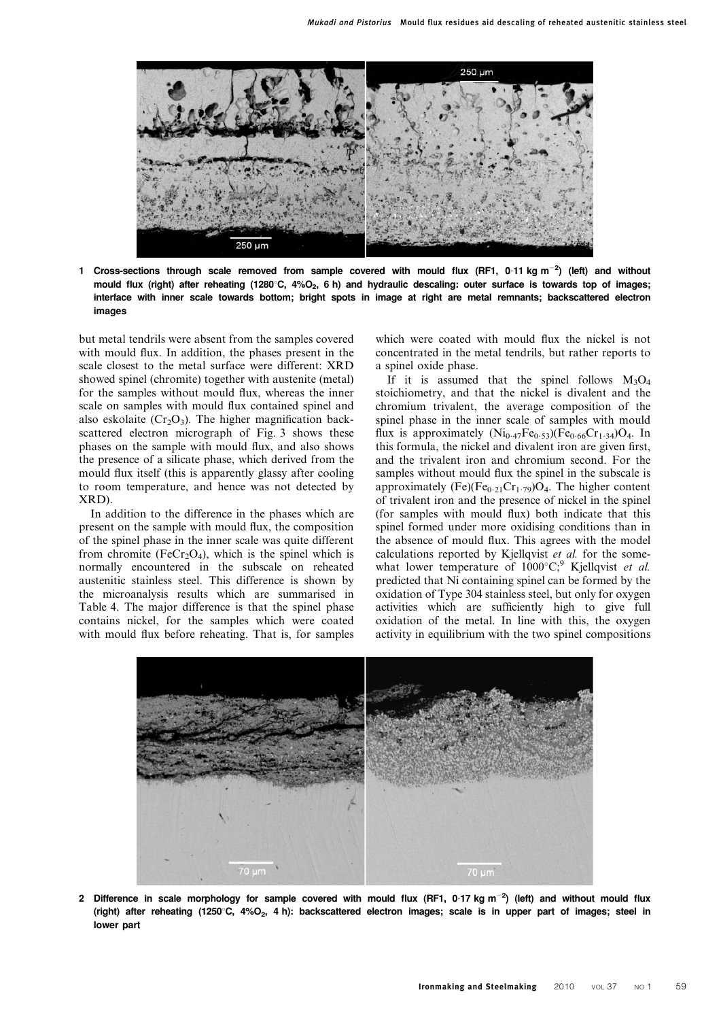

1 Cross-sections through scale removed from sample covered with mould flux (RF1, 0.11 kg m<sup>-2</sup>) (left) and without mould flux (right) after reheating (1280°C, 4%O<sub>2</sub>, 6 h) and hydraulic descaling: outer surface is towards top of images; interface with inner scale towards bottom; bright spots in image at right are metal remnants; backscattered electron images

but metal tendrils were absent from the samples covered with mould flux. In addition, the phases present in the scale closest to the metal surface were different: XRD showed spinel (chromite) together with austenite (metal) for the samples without mould flux, whereas the inner scale on samples with mould flux contained spinel and also eskolaite ( $Cr_2O_3$ ). The higher magnification backscattered electron micrograph of Fig. 3 shows these phases on the sample with mould flux, and also shows the presence of a silicate phase, which derived from the mould flux itself (this is apparently glassy after cooling to room temperature, and hence was not detected by XRD).

In addition to the difference in the phases which are present on the sample with mould flux, the composition of the spinel phase in the inner scale was quite different from chromite (FeCr<sub>2</sub>O<sub>4</sub>), which is the spinel which is normally encountered in the subscale on reheated austenitic stainless steel. This difference is shown by the microanalysis results which are summarised in Table 4. The major difference is that the spinel phase contains nickel, for the samples which were coated with mould flux before reheating. That is, for samples which were coated with mould flux the nickel is not concentrated in the metal tendrils, but rather reports to a spinel oxide phase.

If it is assumed that the spinel follows  $M_3O_4$ stoichiometry, and that the nickel is divalent and the chromium trivalent, the average composition of the spinel phase in the inner scale of samples with mould flux is approximately  $(Ni_{0.47}Fe_{0.53})(Fe_{0.66}Cr_{1.34})O_4$ . In this formula, the nickel and divalent iron are given first, and the trivalent iron and chromium second. For the samples without mould flux the spinel in the subscale is approximately  $(Fe)(Fe_{0.21}Cr_{1.79})O_4$ . The higher content of trivalent iron and the presence of nickel in the spinel (for samples with mould flux) both indicate that this spinel formed under more oxidising conditions than in the absence of mould flux. This agrees with the model calculations reported by Kjellqvist et al. for the somewhat lower temperature of  $1000^{\circ}C$ ; Kjellqvist *et al.* predicted that Ni containing spinel can be formed by the oxidation of Type 304 stainless steel, but only for oxygen activities which are sufficiently high to give full oxidation of the metal. In line with this, the oxygen activity in equilibrium with the two spinel compositions



2 Difference in scale morphology for sample covered with mould flux (RF1, 0.17 kg m<sup>-2</sup>) (left) and without mould flux (right) after reheating (1250°C, 4%O<sub>2</sub>, 4 h): backscattered electron images; scale is in upper part of images; steel in lower part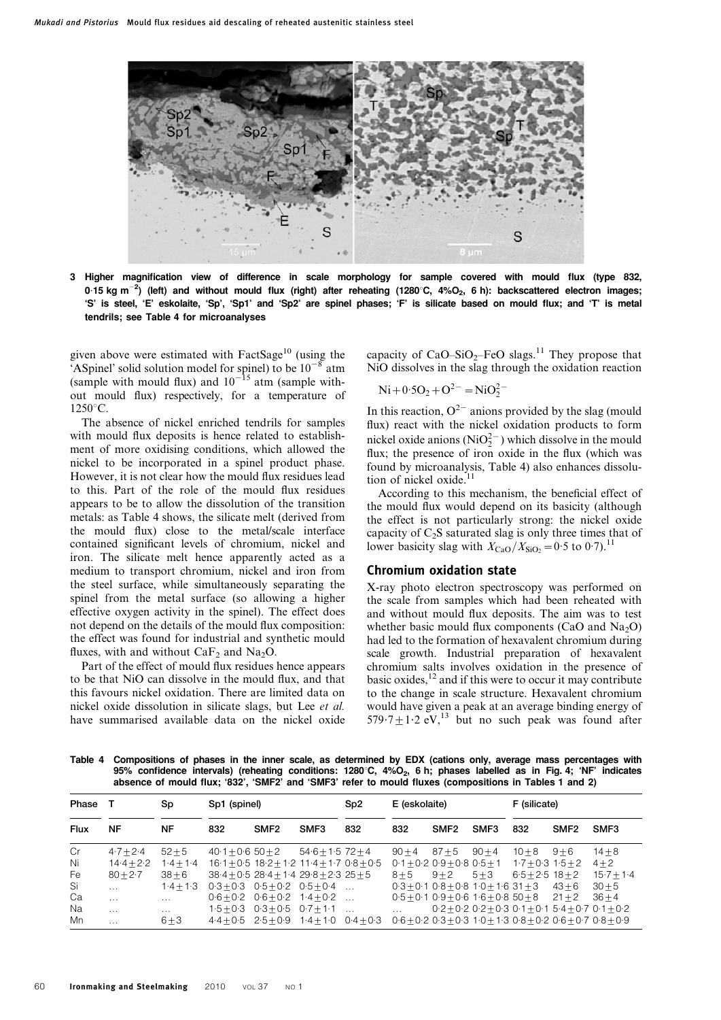

3 Higher magnification view of difference in scale morphology for sample covered with mould flux (type 832, 0·15 kg m<sup>-2</sup>) (left) and without mould flux (right) after reheating (1280°C, 4%O<sub>2</sub>, 6 h): backscattered electron images; 'S' is steel, 'E' eskolaite, 'Sp', 'Sp1' and 'Sp2' are spinel phases; 'F' is silicate based on mould flux; and 'T' is metal tendrils; see Table 4 for microanalyses

given above were estimated with FactSage<sup>10</sup> (using the 'ASpinel' solid solution model for spinel) to be  $10^{-8}$  atm (sample with mould flux) and  $10^{-15}$  atm (sample without mould flux) respectively, for a temperature of  $1250^{\circ}$ C.

The absence of nickel enriched tendrils for samples with mould flux deposits is hence related to establishment of more oxidising conditions, which allowed the nickel to be incorporated in a spinel product phase. However, it is not clear how the mould flux residues lead to this. Part of the role of the mould flux residues appears to be to allow the dissolution of the transition metals: as Table 4 shows, the silicate melt (derived from the mould flux) close to the metal/scale interface contained significant levels of chromium, nickel and iron. The silicate melt hence apparently acted as a medium to transport chromium, nickel and iron from the steel surface, while simultaneously separating the spinel from the metal surface (so allowing a higher effective oxygen activity in the spinel). The effect does not depend on the details of the mould flux composition: the effect was found for industrial and synthetic mould fluxes, with and without  $CaF<sub>2</sub>$  and Na<sub>2</sub>O.

Part of the effect of mould flux residues hence appears to be that NiO can dissolve in the mould flux, and that this favours nickel oxidation. There are limited data on nickel oxide dissolution in silicate slags, but Lee et al. have summarised available data on the nickel oxide capacity of  $CaO-SiO<sub>2</sub>–FeO slags.<sup>11</sup>$  They propose that NiO dissolves in the slag through the oxidation reaction

$$
Ni+0.5O_2+O^{2-}=NiO_2^{2-}
$$

In this reaction,  $O^{2-}$  anions provided by the slag (mould flux) react with the nickel oxidation products to form nickel oxide anions ( $\text{NiO}_2^{2-}$ ) which dissolve in the mould flux; the presence of iron oxide in the flux (which was found by microanalysis, Table 4) also enhances dissolution of nickel oxide.<sup>11</sup>

According to this mechanism, the beneficial effect of the mould flux would depend on its basicity (although the effect is not particularly strong: the nickel oxide capacity of  $C_2S$  saturated slag is only three times that of lower basicity slag with  $X_{\text{CaO}}/X_{\text{SiO}_2}=0.5$  to 0.7).<sup>11</sup>

#### Chromium oxidation state

X-ray photo electron spectroscopy was performed on the scale from samples which had been reheated with and without mould flux deposits. The aim was to test whether basic mould flux components (CaO and  $Na<sub>2</sub>O$ ) had led to the formation of hexavalent chromium during scale growth. Industrial preparation of hexavalent chromium salts involves oxidation in the presence of basic oxides,12 and if this were to occur it may contribute to the change in scale structure. Hexavalent chromium would have given a peak at an average binding energy of  $579.7 \pm 1.2$  eV,<sup>13</sup> but no such peak was found after

Table 4 Compositions of phases in the inner scale, as determined by EDX (cations only, average mass percentages with 95% confidence intervals) (reheating conditions:  $1280^{\circ}$ C,  $4\%$ O<sub>2</sub>, 6 h; phases labelled as in Fig. 4; 'NF' indicates absence of mould flux; '832', 'SMF2' and 'SMF3' refer to mould fluxes (compositions in Tables 1 and 2)

| Phase       |               |               | Sp<br>Sp1 (spinel) |                  | Sp <sub>2</sub>                                    |     | E (eskolaite) |                                              | F (silicate) |                     |                  |                                                               |
|-------------|---------------|---------------|--------------------|------------------|----------------------------------------------------|-----|---------------|----------------------------------------------|--------------|---------------------|------------------|---------------------------------------------------------------|
| <b>Flux</b> | <b>NF</b>     | <b>NF</b>     | 832                | SMF <sub>2</sub> | SMF <sub>3</sub>                                   | 832 | 832           | SMF <sub>2</sub>                             | SMF3         | 832                 | SMF <sub>2</sub> | SMF3                                                          |
| Cr          | $4.7 + 2.4$   | $52 + 5$      | $40.1 + 0.650 + 2$ |                  | $54.6 + 1.572 + 4$                                 |     | $90 + 4$      | $87 + 5$                                     | $90 + 4$     | $10 + 8$            | $9 + 6$          | $14 + 8$                                                      |
| Ni          | $14.4 + 2.2$  | $1.4 + 1.4$   |                    |                  | $16.1 + 0.5$ $18.2 + 1.2$ $11.4 + 1.7$ $0.8 + 0.5$ |     |               | $0.1 + 0.2$ $0.9 + 0.8$ $0.5 + 1$            |              | $1.7 + 0.3$ 1.5 + 2 |                  | $4 + 2$                                                       |
| Fe          | $80 + 2.7$    | $38 + 6$      |                    |                  | $38.4 + 0.528.4 + 1.429.8 + 2.325 + 5$             |     | $8 + 5$       | $9+2$                                        | $5 + 3$      | $6.5 + 2.5$ 18 + 2  |                  | $15.7 + 1.4$                                                  |
| Si          | $\cdots$      | $1.4 + 1.3$   |                    |                  | $0.3+0.3$ $0.5+0.2$ $0.5+0.4$                      |     |               | $0.3 + 0.1$ $0.8 + 0.8$ $1.0 + 1.6$ $31 + 3$ |              |                     | $43 + 6$         | $30 + 5$                                                      |
| Ca          | $\sim$ $\sim$ | $\cdots$      |                    |                  | $0.6+0.2$ $0.6+0.2$ $1.4+0.2$                      |     |               | $0.5 + 0.1$ $0.9 + 0.6$ $1.6 + 0.8$ $50 + 8$ |              |                     | $21 + 2$         | $36 + 4$                                                      |
| Na          | $\cdots$      | $\sim$ $\sim$ |                    |                  | $1.5 + 0.3$ 0.3 + 0.5 0.7 + 1.1                    |     |               |                                              |              |                     |                  | $0.2 + 0.2$ 0.2 + 0.3 0.1 + 0.1 5.4 + 0.7 0.1 + 0.2           |
| Mn          | $\cdots$      | $6 + 3$       |                    |                  | $4.4+0.5$ $2.5+0.9$ $1.4+1.0$ $0.4+0.3$            |     |               |                                              |              |                     |                  | $0.6 + 0.2$ 0.3 + 0.3 1.0 + 1.3 0.8 + 0.2 0.6 + 0.7 0.8 + 0.9 |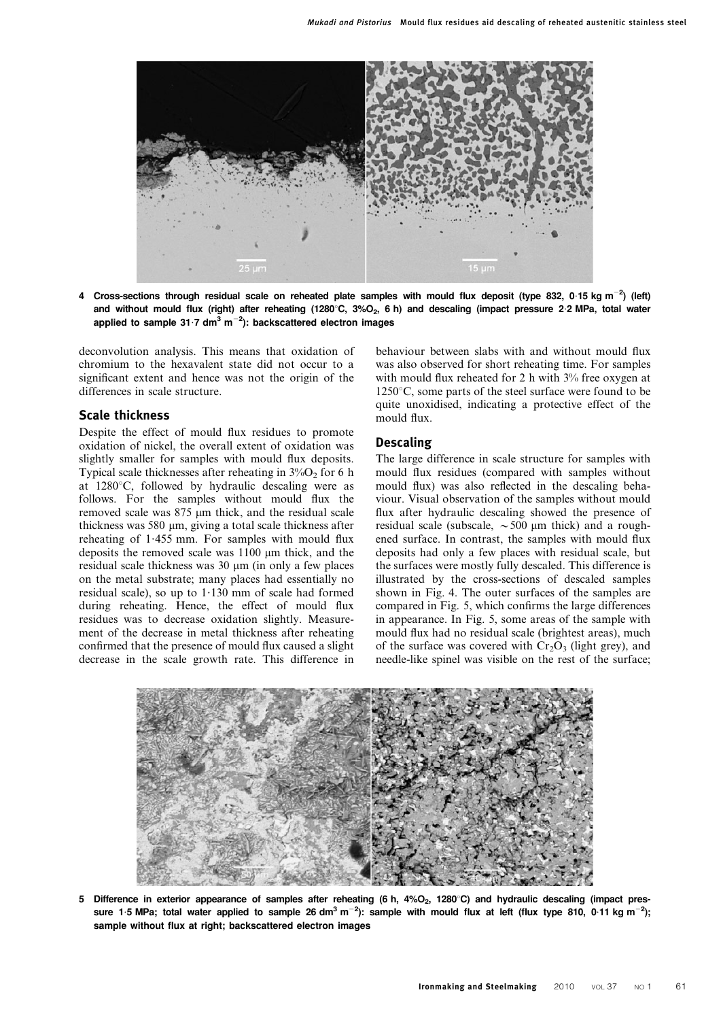

4 Cross-sections through residual scale on reheated plate samples with mould flux deposit (type 832, 0.15 kg m<sup>-2</sup>) (left) and without mould flux (right) after reheating (1280°C, 3%O<sub>2</sub>, 6 h) and descaling (impact pressure 2.2 MPa, total water applied to sample 31 $\cdot$ 7 dm $^3$  m $^{-2}$ ): backscattered electron images

deconvolution analysis. This means that oxidation of chromium to the hexavalent state did not occur to a significant extent and hence was not the origin of the differences in scale structure.

#### Scale thickness

Despite the effect of mould flux residues to promote oxidation of nickel, the overall extent of oxidation was slightly smaller for samples with mould flux deposits. Typical scale thicknesses after reheating in  $3\%$ O<sub>2</sub> for 6 h at  $1280^{\circ}$ C, followed by hydraulic descaling were as follows. For the samples without mould flux the removed scale was 875 um thick, and the residual scale thickness was 580 µm, giving a total scale thickness after reheating of  $1.455$  mm. For samples with mould flux deposits the removed scale was  $1100 \mu m$  thick, and the residual scale thickness was  $30 \mu m$  (in only a few places on the metal substrate; many places had essentially no residual scale), so up to  $1.130$  mm of scale had formed during reheating. Hence, the effect of mould flux residues was to decrease oxidation slightly. Measurement of the decrease in metal thickness after reheating confirmed that the presence of mould flux caused a slight decrease in the scale growth rate. This difference in

behaviour between slabs with and without mould flux was also observed for short reheating time. For samples with mould flux reheated for 2 h with  $3\%$  free oxygen at  $1250^{\circ}$ C, some parts of the steel surface were found to be quite unoxidised, indicating a protective effect of the mould flux.

#### Descaling

The large difference in scale structure for samples with mould flux residues (compared with samples without mould flux) was also reflected in the descaling behaviour. Visual observation of the samples without mould flux after hydraulic descaling showed the presence of residual scale (subscale,  $\sim 500$  µm thick) and a roughened surface. In contrast, the samples with mould flux deposits had only a few places with residual scale, but the surfaces were mostly fully descaled. This difference is illustrated by the cross-sections of descaled samples shown in Fig. 4. The outer surfaces of the samples are compared in Fig. 5, which confirms the large differences in appearance. In Fig. 5, some areas of the sample with mould flux had no residual scale (brightest areas), much of the surface was covered with  $Cr_2O_3$  (light grey), and needle-like spinel was visible on the rest of the surface;



5 Difference in exterior appearance of samples after reheating (6 h,  $4\%O_2$ , 1280°C) and hydraulic descaling (impact pressure 1·5 MPa; total water applied to sample 26 dm<sup>3</sup> m<sup>-2</sup>): sample with mould flux at left (flux type 810, 0·11 kg m<sup>-2</sup>); sample without flux at right; backscattered electron images